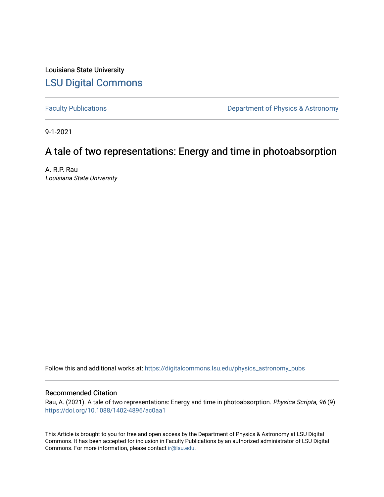Louisiana State University [LSU Digital Commons](https://digitalcommons.lsu.edu/)

[Faculty Publications](https://digitalcommons.lsu.edu/physics_astronomy_pubs) **Exercise 2** Constant Department of Physics & Astronomy

9-1-2021

# A tale of two representations: Energy and time in photoabsorption

A. R.P. Rau Louisiana State University

Follow this and additional works at: [https://digitalcommons.lsu.edu/physics\\_astronomy\\_pubs](https://digitalcommons.lsu.edu/physics_astronomy_pubs?utm_source=digitalcommons.lsu.edu%2Fphysics_astronomy_pubs%2F4483&utm_medium=PDF&utm_campaign=PDFCoverPages) 

# Recommended Citation

Rau, A. (2021). A tale of two representations: Energy and time in photoabsorption. Physica Scripta, 96 (9) <https://doi.org/10.1088/1402-4896/ac0aa1>

This Article is brought to you for free and open access by the Department of Physics & Astronomy at LSU Digital Commons. It has been accepted for inclusion in Faculty Publications by an authorized administrator of LSU Digital Commons. For more information, please contact [ir@lsu.edu](mailto:ir@lsu.edu).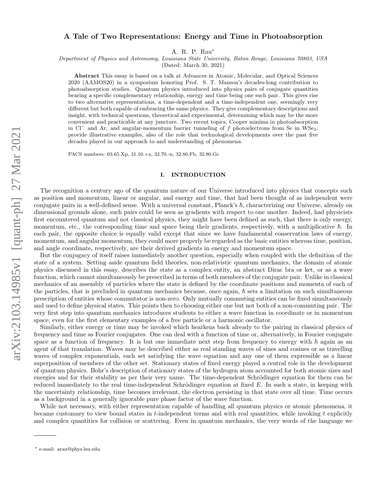## A Tale of Two Representations: Energy and Time in Photoabsorption

A. R. P. Rau<sup>∗</sup>

Department of Physics and Astronomy, Louisiana State University, Baton Rouge, Louisiana 70803, USA

(Dated: March 30, 2021)

Abstract This essay is based on a talk at Advances in Atomic, Molecular, and Optical Sciences 2020 (AAMOS20) in a symposium honoring Prof. S. T. Manson's decades-long contribution to photoabsorption studies. Quantum physics introduced into physics pairs of conjugate quantities bearing a specific complementary relationship, energy and time being one such pair. This gives rise to two alternative representations, a time-dependent and a time-independent one, seemingly very different but both capable of embracing the same physics. They give complementary descriptions and insight, with technical questions, theoretical and experimental, determining which may be the more convenient and practicable at any juncture. Two recent topics, Cooper minima in photoabsorption in Cl<sup>−</sup> and Ar, and angular-momentum barrier tunneling of f photoelectrons from Se in WSe<sub>2</sub>, provide illustrative examples, also of the role that technological developments over the past five decades played in our approach to and understanding of phenomena.

PACS numbers: 03.65.Xp, 31.10.+z, 32.70.-n, 32.80.Fb, 32.80.Gc

#### I. INTRODUCTION

The recognition a century ago of the quantum nature of our Universe introduced into physics that concepts such as position and momentum, linear or angular, and energy and time, that had been thought of as independent were conjugate pairs in a well-defined sense. With a universal constant, Planck's  $\hbar$ , characterizing our Universe, already on dimensional grounds alone, such pairs could be seen as gradients with respect to one another. Indeed, had physicists first encountered quantum and not classical physics, they might have been defined as such, that there is only energy, momentum, etc., the corresponding time and space being their gradients, respectively, with a multiplicative  $\hbar$ . In each pair, the opposite choice is equally valid except that since we have fundamental conservation laws of energy, momentum, and angular momentum, they could more properly be regarded as the basic entities whereas time, position, and angle coordinate, respectively, are their derived gradients in energy and momentum space.

But the conjugacy of itself raises immediately another question, especially when coupled with the definition of the state of a system. Setting aside quantum field theories, non-relativistic quantum mechanics, the domain of atomic physics discussed in this essay, describes the state as a complex entity, an abstract Dirac bra or ket, or as a wave function, which cannot simultaneously be prescribed in terms of both members of the conjugate pair. Unlike in classical mechanics of an assembly of particles where the state is defined by the coordinate positions and momenta of each of the particles, that is precluded in quantum mechanics because, once again,  $\hbar$  sets a limitation on such simultaneous prescription of entities whose commutator is non-zero. Only mutually commuting entities can be fixed simultaneously and used to define physical states. This points then to choosing either one but not both of a non-commuting pair. The very first step into quantum mechanics introduces students to either a wave function in coordinate or in momentum space, even for the first elementary examples of a free particle or a harmonic oscillator.

Similarly, either energy or time may be invoked which hearkens back already to the pairing in classical physics of frequency and time as Fourier conjugates. One can deal with a function of time or, alternatively, in Fourier conjugate space as a function of frequency. It is but one immediate next step from frequency to energy with  $\hbar$  again as an agent of that translation. Waves may be described either as real standing waves of sines and cosines or as travelling waves of complex exponentials, each set satisfying the wave equation and any one of them expressible as a linear superposition of members of the other set. Stationary states of fixed energy played a central role in the development of quantum physics. Bohr's description of stationary states of the hydrogen atom accounted for both atomic sizes and energies and for their stability as per their very name. The time-dependent Schrödinger equation for them can be reduced immediately to the real time-independent Schrödinger equation at fixed  $E$ . In such a state, in keeping with the uncertainty relationship, time becomes irrelevant, the electron persisting in that state over all time. Time occurs as a background in a generally ignorable pure phase factor of the wave function.

While not necessary, with either representation capable of handling all quantum physics or atomic phenomena, it became customary to view bound states in  $t$ -independent terms and with real quantities, while invoking  $t$  explicitly and complex quantities for collision or scattering. Even in quantum mechanics, the very words of the language we

<sup>∗</sup> e-mail: arau@phys.lsu.edu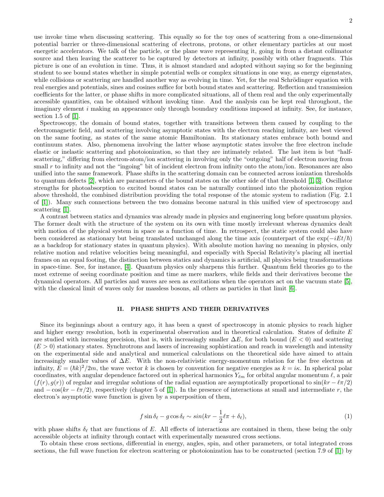use invoke time when discussing scattering. This equally so for the toy ones of scattering from a one-dimensional potential barrier or three-dimensional scattering of electrons, protons, or other elementary particles at our most energetic accelerators. We talk of the particle, or the plane wave representing it, going in from a distant collimator source and then leaving the scatterer to be captured by detectors at infinity, possibly with other fragments. This picture is one of an evolution in time. Thus, it is almost standard and adopted without saying so for the beginning student to see bound states whether in simple potential wells or complex situations in one way, as energy eigenstates, while collisions or scattering are handled another way as evolving in time. Yet, for the real Schrödinger equation with real energies and potentials, sines and cosines suffice for both bound states and scattering. Reflection and transmission coefficients for the latter, or phase shifts in more complicated situations, all of them real and the only experimentally accessible quantities, can be obtained without invoking time. And the analysis can be kept real throughout, the imaginary element  $i$  making an appearance only through boundary conditions imposed at infinity. See, for instance, section 1.5 of [\[1\]](#page-7-0).

Spectroscopy, the domain of bound states, together with transitions between them caused by coupling to the electromagnetic field, and scattering involving asymptotic states with the electron reaching infinity, are best viewed on the same footing, as states of the same atomic Hamiltonian. Its stationary states embrace both bound and continuum states. Also, phenomena involving the latter whose asymptotic states involve the free electron include elastic or inelastic scattering and photoionization, so that they are intimately related. The last item is but "halfscattering," differing from electron-atom/ion scattering in involving only the "outgoing" half of electron moving from small r to infinity and not the "ingoing" bit of incident electron from infinity onto the atom/ion. Resonances are also unified into the same framework. Phase shifts in the scattering domain can be connected across ionization thresholds to quantum defects [\[2\]](#page-7-1), which are parameters of the bound states on the other side of that threshold [\[1,](#page-7-0) [3\]](#page-7-2). Oscillator strengths for photoabsorption to excited bound states can be naturally continued into the photoionization region above threshold, the combined distribution providing the total response of the atomic system to radiation (Fig. 2.1 of [\[1\]](#page-7-0)). Many such connections between the two domains become natural in this unified view of spectroscopy and scattering [\[1\]](#page-7-0).

A contrast between statics and dynamics was already made in physics and engineering long before quantum physics. The former dealt with the structure of the system on its own with time mostly irrelevant whereas dynamics dealt with motion of the physical system in space as a function of time. In retrospect, the static system could also have been considered as stationary but being translated unchanged along the time axis (counterpart of the  $\exp(-iEt/\hbar)$ as a backdrop for stationary states in quantum physics). With absolute motion having no meaning in physics, only relative motion and relative velocities being meaningful, and especially with Special Relativity's placing all inertial frames on an equal footing, the distinction between statics and dynamics is artificial, all physics being transformations in space-time. See, for instance, [\[4\]](#page-7-3). Quantum physics only sharpens this further. Quantum field theories go to the most extreme of seeing coordinate position and time as mere markers, while fields and their derivatives become the dynamical operators. All particles and waves are seen as excitations when the operators act on the vacuum state [\[5\]](#page-7-4), with the classical limit of waves only for massless bosons, all others as particles in that limit [\[6\]](#page-7-5).

#### II. PHASE SHIFTS AND THEIR DERIVATIVES

Since its beginnings about a century ago, it has been a quest of spectroscopy in atomic physics to reach higher and higher energy resolution, both in experimental observation and in theoretical calculation. States of definite E are studied with increasing precision, that is, with increasingly smaller  $\Delta E$ , for both bound ( $E < 0$ ) and scattering  $(E > 0)$  stationary states. Synchrotrons and lasers of increasing sophistication and reach in wavelength and intensity on the experimental side and analytical and numerical calculations on the theoretical side have aimed to attain increasingly smaller values of  $\Delta E$ . With the non-relativistic energy-momentum relation for the free electron at infinity,  $E = (\hbar k)^2/2m$ , the wave vector k is chosen by convention for negative energies as  $k = i\kappa$ . In spherical polar coordinates, with angular dependence factored out in spherical harmonics  $Y_{\ell m}$  for orbital angular momentum  $\ell$ , a pair  $(f(r), g(r))$  of regular and irregular solutions of the radial equation are asymptotically proportional to  $sin(kr - \ell \pi/2)$ and  $-\cos(kr - \ell \pi/2)$ , respectively (chapter 5 of [\[1\]](#page-7-0)). In the presence of interactions at small and intermediate r, the electron's asymptotic wave function is given by a superposition of them,

<span id="page-2-0"></span>
$$
f\sin\delta_{\ell} - g\cos\delta_{\ell} \sim \sin(kr - \frac{1}{2}\ell\pi + \delta_{\ell}),\tag{1}
$$

with phase shifts  $\delta_{\ell}$  that are functions of E. All effects of interactions are contained in them, these being the only accessible objects at infinity through contact with experimentally measured cross sections.

To obtain these cross sections, differential in energy, angles, spin, and other parameters, or total integrated cross sections, the full wave function for electron scattering or photoionization has to be constructed (section 7.9 of [\[1\]](#page-7-0)) by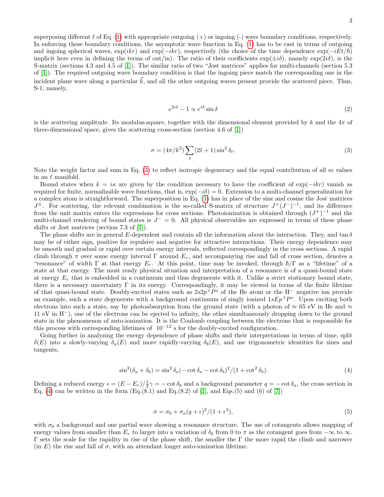superposing different  $\ell$  of Eq. [\(1\)](#page-2-0) with appropriate outgoing  $(+)$  or ingoing (-) wave boundary conditions, respectively. In enforcing these boundary conditions, the asymptotic wave function in Eq. [\(1\)](#page-2-0) has to be cast in terms of outgoing and ingoing spherical waves,  $\exp(ikr)$  and  $\exp(-ikr)$ , respectively (the choice of the time dependence  $\exp(-iEt/\hbar)$ implicit here even in defining the terms of out/in). The ratio of their coefficients  $\exp(\pm i\delta)$ , namely  $\exp(2i\delta)$ , is the S-matrix (sections 4.3 and 4.5 of [\[1\]](#page-7-0)). The similar ratio of two "Jost matrices" applies for multi-channels (section 5.3 of [\[1\]](#page-7-0)). The required outgoing wave boundary condition is that the ingoing piece match the corresponding one in the incident plane wave along a particular  $k$ , and all the other outgoing waves present provide the scattered piece. Thus, S-1, namely,

$$
e^{2i\delta} - 1 \propto e^{i\delta} \sin \delta \tag{2}
$$

is the scattering amplitude. Its modulus-square, together with the dimensional element provided by k and the  $4\pi$  of three-dimensional space, gives the scattering cross-section (section 4.6 of [\[1\]](#page-7-0))

<span id="page-3-0"></span>
$$
\sigma = (4\pi/k^2) \sum_{\ell} (2\ell + 1) \sin^2 \delta_{\ell}.
$$
\n(3)

Note the weight factor and sum in Eq. [\(3\)](#page-3-0) to reflect isotropic degeneracy and the equal contribution of all  $m$  values in an  $\ell$  manifold.

Bound states when  $k = i\kappa$  are given by the condition necessary to have the coefficient of exp( $-ikr$ ) vanish as required for finite, normalizable wave functions, that is,  $\exp(-i\delta) = 0$ . Extension to a multi-channel generalization for a complex atom is straightforward. The superposition in Eq. [\(1\)](#page-2-0) has in place of the sine and cosine the Jost matrices  $J^{\pm}$ . For scattering, the relevant combination is the so-called S-matrix of structure  $J^+(J^-)^{-1}$ , and its difference from the unit matrix enters the expressions for cross sections. Photoionization is obtained through  $(J^+)^{-1}$  and the multi-channel rendering of bound states is  $J^- = 0$ . All physical observables are expressed in terms of these phase shifts or Jost matrices (section 7.3 of [\[1\]](#page-7-0)).

The phase shifts are in general E-dependent and contain all the information about the interaction. They, and tan  $\delta$ may be of either sign, positive for repulsive and negative for attractive interactions. Their energy dependence may be smooth and gradual or rapid over certain energy intervals, reflected correspondingly in the cross sections. A rapid climb through  $\pi$  over some energy interval  $\Gamma$  around  $E_r$ , and accompanying rise and fall of cross section, denotes a "resonance" of width  $\Gamma$  at that energy  $E_r$ . At this point, time may be invoked, through  $\hbar/\Gamma$  as a "lifetime" of a state at that energy. The most ready physical situation and interpretation of a resonance is of a quasi-bound state at energy  $E_r$  that is embedded in a continuum and thus degenerate with it. Unlike a strict stationary bound state, there is a necessary uncertainty  $\Gamma$  in its energy. Correspondingly, it may be viewed in terms of the finite lifetime of that quasi-bound state. Doubly-excited states such as  $2s2p<sup>1</sup>P<sup>o</sup>$  of the He atom or the H<sup>-</sup> negative ion provide an example, such a state degenerate with a background continuum of singly ionized  $1sEp<sup>1</sup>P<sup>o</sup>$ . Upon exciting both electrons into such a state, say by photoabsorption from the ground state (with a photon of  $\approx 65$  eV in He and  $\approx$ 11 eV in H<sup>−</sup>), one of the electrons can be ejected to infinity, the other simultaneously dropping down to the ground state in the phenomenon of auto-ionization. It is the Coulomb coupling between the electrons that is responsible for this process with corresponding lifetimes of  $10^{-12}$  s for the doubly-excited configuration.

Going further in analyzing the energy dependence of phase shifts and their interpretations in terms of time, split  $\delta(E)$  into a slowly-varying  $\delta_a(E)$  and more rapidly-varying  $\delta_b(E)$ , and use trigonometric identities for sines and tangents,

<span id="page-3-1"></span>
$$
\sin^2(\delta_a + \delta_b) = \sin^2 \delta_a (-\cot \delta_a - \cot \delta_b)^2 / (1 + \cot^2 \delta_b). \tag{4}
$$

Defining a reduced energy  $\epsilon = (E - E_r)/\frac{1}{2}\gamma = -\cot \delta_b$  and a background parameter  $q = -\cot \delta_a$ , the cross section in Eq. [\(4\)](#page-3-1) can be written in the form  $(Eq.8.1)$  and  $Eq.8.2)$  of [\[1\]](#page-7-0), and Eqs.(5) and (6) of [\[7\]](#page-7-6))

$$
\sigma = \sigma_0 + \sigma_a (q + \epsilon)^2 / (1 + \epsilon^2),\tag{5}
$$

with  $\sigma_0$  a background and one partial wave showing a resonance structure. The use of cotangents allows mapping of energy values from smaller than  $E_r$  to larger into a variation of  $\delta_b$  from 0 to  $\pi$  as the cotangent goes from  $-\infty$  to  $\infty$ . Γ sets the scale for the rapidity in rise of the phase shift, the smaller the Γ the more rapid the climb and narrower (in E) the rise and fall of  $\sigma$ , with an attendant longer auto-ionization lifetime.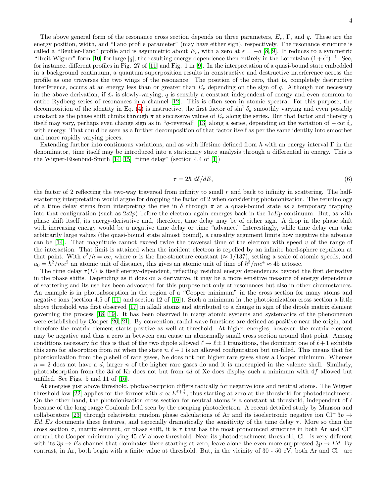The above general form of the resonance cross section depends on three parameters,  $E_r$ , Γ, and q. These are the energy position, width, and "Fano profile parameter" (may have either sign), respectively. The resonance structure is called a "Beutler-Fano" profile and is asymmetric about  $E_r$ , with a zero at  $\epsilon = -q$  [\[8,](#page-7-7) [9\]](#page-7-8). It reduces to a symmetric "Breit-Wigner" form [\[10\]](#page-7-9) for large |q|, the resulting energy dependence then entirely in the Lorentzian  $(1+\epsilon^2)^{-1}$ . See, for instance, different profiles in Fig. 27 of [\[11\]](#page-7-10) and Fig. 1 in [\[9\]](#page-7-8). In the interpretation of a quasi-bound state embedded in a background continuum, a quantum superposition results in constructive and destructive interference across the profile as one traverses the two wings of the resonance. The position of the zero, that is, completely destructive interference, occurs at an energy less than or greater than  $E_r$  depending on the sign of q. Although not necessary in the above derivation, if  $\delta_a$  is slowly-varying, q is sensibly a constant independent of energy and even common to entire Rydberg series of resonances in a channel [\[12\]](#page-7-11). This is often seen in atomic spectra. For this purpose, the decomposition of the identity in Eq. [\(4\)](#page-3-1) is instructive, the first factor of  $\sin^2 \delta_a$  smoothly varying and even possibly constant as the phase shift climbs through  $\pi$  at successive values of  $E_r$  along the series. But that factor and thereby q itself may vary, perhaps even change sign as in "q-reversal" [\[13\]](#page-7-12) along a series, depending on the variation of  $-\cot \delta_a$ with energy. That could be seen as a further decomposition of that factor itself as per the same identity into smoother and more rapidly varying pieces.

Extending further into continuous variations, and as with lifetime defined from  $\hbar$  with an energy interval  $\Gamma$  in the denominator, time itself may be introduced into a stationary state analysis through a differential in energy. This is the Wigner-Eisenbud-Smith [\[14,](#page-7-13) [15\]](#page-7-14) "time delay" (section 4.4 of [\[1\]](#page-7-0))

<span id="page-4-0"></span>
$$
\tau = 2\hbar \ d\delta/dE,\tag{6}
$$

the factor of 2 reflecting the two-way traversal from infinity to small  $r$  and back to infinity in scattering. The halfscattering interpretation would argue for dropping the factor of 2 when considering photoionization. The terminology of a time delay stems from interpreting the rise in  $\delta$  through  $\pi$  at a quasi-bound state as a temporary trapping into that configuration (such as  $2s2p$ ) before the electron again emerges back in the  $1sEp$  continuum. But, as with phase shift itself, its energy-derivative and, therefore, time delay may be of either sign. A drop in the phase shift with increasing energy would be a negative time delay or time "advance." Interestingly, while time delay can take arbitrarily large values (the quasi-bound state almost bound), a causality argument limits how negative the advance can be [\[14\]](#page-7-13). That magnitude cannot exceed twice the traversal time of the electron with speed v of the range of the interaction. That limit is attained when the incident electron is repelled by an infinite hard-sphere repulsion at that point. With  $e^2/\hbar = \alpha c$ , where  $\alpha$  is the fine-structure constant  $(\approx 1/137)$ , setting a scale of atomic speeds, and  $a_0 = \hbar^2/m e^2$  an atomic unit of distance, this gives an atomic unit of time of  $\hbar^3/m e^4 \approx 45$  attosec.

The time delay  $\tau(E)$  is itself energy-dependent, reflecting residual energy dependences beyond the first derivative in the phase shifts. Depending as it does on a derivative, it may be a more sensitive measure of energy dependence of scattering and its use has been advocated for this purpose not only at resonances but also in other circumstances. An example is in photoabsorption in the region of a "Cooper minimum" in the cross section for many atoms and negative ions (section 4.5 of [\[11\]](#page-7-10) and section 12 of [\[16\]](#page-7-15)). Such a minimum in the photoionization cross section a little above threshold was first observed [\[17\]](#page-7-16) in alkali atoms and attributed to a change in sign of the dipole matrix element governing the process [\[18,](#page-7-17) [19\]](#page-7-18). It has been observed in many atomic systems and systematics of the phenomenon were established by Cooper [\[20,](#page-7-19) [21\]](#page-7-20). By convention, radial wave functions are defined as positive near the origin, and therefore the matrix element starts positive as well at threshold. At higher energies, however, the matrix element may be negative and thus a zero in between can cause an abnormally small cross section around that point. Among conditions necessary for this is that of the two dipole allowed  $\ell \to \ell \pm 1$  transitions, the dominant one of  $\ell + 1$  exhibits this zero for absorption from  $n\ell$  when the state  $n, \ell + 1$  is an allowed configuration but un-filled. This means that for photoionization from the  $p$  shell of rare gases, Ne does not but higher rare gases show a Cooper minimum. Whereas  $n = 2$  does not have a d, larger n of the higher rare gases do and it is unoccupied in the valence shell. Similarly, photoabsorption from the 3d of Kr does not but from 4d of Xe does display such a minimum with 4f allowed but unfilled. See Figs. 5 and 11 of [\[16\]](#page-7-15).

At energies just above threshold, photoabsorption differs radically for negative ions and neutral atoms. The Wigner threshold law [\[22\]](#page-7-21) applies for the former with  $\sigma \propto E^{\ell+\frac{1}{2}}$ , thus starting at zero at the threshold for photodetachment. On the other hand, the photoionization cross section for neutral atoms is a constant at threshold, independent of  $\ell$ because of the long range Coulomb field seen by the escaping photoelectron. A recent detailed study by Manson and collaborators [\[23\]](#page-7-22) through relativistic random phase calculations of Ar and its isoelectronic negative ion Cl<sup>-</sup> 3p → Ed, Es documents these features, and especially dramatically the sensitivity of the time delay  $\tau$ . More so than the cross section  $\sigma$ , matrix element, or phase shift, it is  $\tau$  that has the most pronounced structure in both Ar and Cl<sup>−</sup> around the Cooper minimum lying 45 eV above threshold. Near its photodetachment threshold, Cl<sup>−</sup> is very different with its  $3p \to Es$  channel that dominates there starting at zero, leave alone the even more suppressed  $3p \to Ed$ . By contrast, in Ar, both begin with a finite value at threshold. But, in the vicinity of 30 - 50 eV, both Ar and Cl<sup>−</sup> are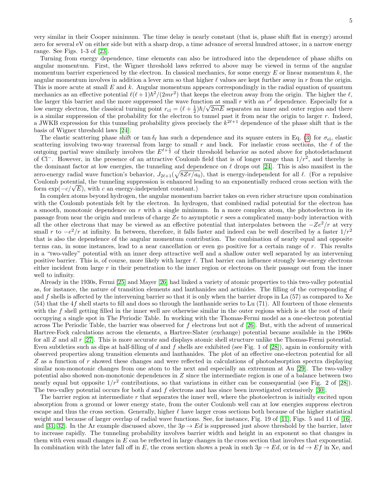very similar in their Cooper minimum. The time delay is nearly constant (that is, phase shift flat in energy) around zero for several eV on either side but with a sharp drop, a time advance of several hundred attosec, in a narrow energy range. See Figs. 1-3 of [\[23\]](#page-7-22).

Turning from energy dependence, time elements can also be introduced into the dependence of phase shifts on angular momentum. First, the Wigner threshold laws referred to above may be viewed in terms of the angular momentum barrier experienced by the electron. In classical mechanics, for some energy  $E$  or linear momentum  $k$ , the angular momentum involves in addition a lever arm so that higher  $\ell$  values are kept further away in r from the origin. This is more acute at small  $E$  and  $k$ . Angular momentum appears correspondingly in the radial equation of quantum mechanics as an effective potential  $\ell(\ell+1)\hbar^2/(2mr^2)$  that keeps the electron away from the origin. The higher the  $\ell$ , the larger this barrier and the more suppressed the wave function at small r with an  $r^{\ell}$  dependence. Especially for a low energy electron, the classical turning point  $r_{\text{cl}} = (\ell + \frac{1}{2})\hbar/\sqrt{2mE}$  separates an inner and outer region and there is a similar suppression of the probability for the electron to tunnel past it from near the origin to larger  $r$ . Indeed, a JWKB expression for this tunneling probability gives precisely the  $k^{2\ell+1}$  dependence of the phase shift that is the basis of Wigner threshold laws [\[24\]](#page-7-23).

The elastic scattering phase shift or tan  $\delta_\ell$  has such a dependence and its square enters in Eq. [\(3\)](#page-3-0) for  $\sigma_{el}$ , elastic scattering involving two-way traversal from large to small  $r$  and back. For inelastic cross sections, the  $\ell$  of the outgoing partial wave similarly involves the  $E^{\ell+\frac{1}{2}}$  of their threshold behavior as noted above for photodetachment of Cl<sup>−</sup>. However, in the presence of an attractive Coulomb field that is of longer range than  $1/r^2$ , and thereby is the dominant factor at low energies, the tunneling and dependence on  $\ell$  drops out [\[24\]](#page-7-23). This is also manifest in the zero-energy radial wave function's behavior,  $J_{2\ell+1}(\sqrt{8Zr/a_0})$ , that is energy-independent for all  $\ell$ . (For a repulsive Coulomb potential, the tunneling suppression is enhanced leading to an exponentially reduced cross section with the Coulomb potential, the tunneling suppression is enhanced le<br>form  $\exp(-c/\sqrt{E})$ , with c an energy-independent constant.)

In complex atoms beyond hydrogen, the angular momentum barrier takes on even richer structure upon combination with the Coulomb potentials felt by the electron. In hydrogen, that combined radial potential for the electron has a smooth, monotonic dependence on  $r$  with a single minimum. In a more complex atom, the photoelectron in its passage from near the origin and nucleus of charge Ze to asymptotic r sees a complicated many-body interaction with all the other electrons that may be viewed as an effective potential that interpolates between the  $-Ze^2/r$  at very small r to  $-e^2/r$  at infinity. In between, therefore, it falls faster and indeed can be well described by a faster  $1/r^2$ that is also the dependence of the angular momentum contribution. The combination of nearly equal and opposite terms can, in some instances, lead to a near cancellation or even go positive for a certain range of r. This results in a "two-valley" potential with an inner deep attractive well and a shallow outer well separated by an intervening positive barrier. This is, of course, more likely with larger  $\ell$ . That barrier can influence strongly low-energy electrons either incident from large  $r$  in their penetration to the inner region or electrons on their passage out from the inner well to infinity.

Already in the 1930s, Fermi [\[25\]](#page-7-24) and Mayer [\[26\]](#page-7-25) had linked a variety of atomic properties to this two-valley potential as, for instance, the nature of transition elements and lanthanides and actinides. The filling of the corresponding d and  $f$  shells is affected by the intervening barrier so that it is only when the barrier drops in La  $(57)$  as compared to Xe  $(54)$  that the 4f shell starts to fill and does so through the lanthanide series to Lu  $(71)$ . All fourteen of those elements with the  $f$  shell getting filled in the inner well are otherwise similar in the outer regions which is at the root of their occupying a single spot in The Periodic Table. In working with the Thomas-Fermi model as a one-electron potential across The Periodic Table, the barrier was observed for  $f$  electrons but not  $d$  [\[26\]](#page-7-25). But, with the advent of numerical Hartree-Fock calculations across the elements, a Hartree-Slater (exchange) potential became available in the 1960s for all Z and all  $r$  [\[27\]](#page-7-26). This is more accurate and displays atomic shell structure unlike the Thomas-Fermi potential. Even subtleties such as dips at half-filling of d and f shells are exhibited (see Fig. 1 of [\[28\]](#page-7-27)), again in conformity with observed properties along transition elements and lanthanides. The plot of an effective one-electron potential for all Z as a function of r showed these changes and were reflected in calculations of photoabsorption spectra displaying similar non-monotonic changes from one atom to the next and especially an extremum at Au [\[29\]](#page-7-28). The two-valley potential also showed non-monotonic dependences in Z since the intermediate region is one of a balance between two nearly equal but opposite  $1/r^2$  contributions, so that variations in either can be consequential (see Fig. 2 of [\[28\]](#page-7-27)). The two-valley potential occurs for both  $d$  and  $f$  electrons and has since been investigated extensively [\[30\]](#page-7-29).

The barrier region at intermediate r that separates the inner well, where the photoelectron is initially excited upon absorption from a ground or lower energy state, from the outer Coulomb well can at low energies suppress electron escape and thus the cross section. Generally, higher  $\ell$  have larger cross sections both because of the higher statistical weight and because of larger overlap of radial wave functions. See, for instance, Fig. 19 of [\[11\]](#page-7-10), Figs. 5 and 11 of [\[16\]](#page-7-15), and [\[31,](#page-7-30) [32\]](#page-7-31). In the Ar example discussed above, the  $3p \rightarrow Ed$  is suppressed just above threshold by the barrier, later to increase rapidly. The tunneling probability involves barrier width and height in an exponent so that changes in them with even small changes in  $E$  can be reflected in large changes in the cross section that involves that exponential. In combination with the later fall off in E, the cross section shows a peak in such  $3p \to Ed$ , or in  $4d \to Ef$  in Xe, and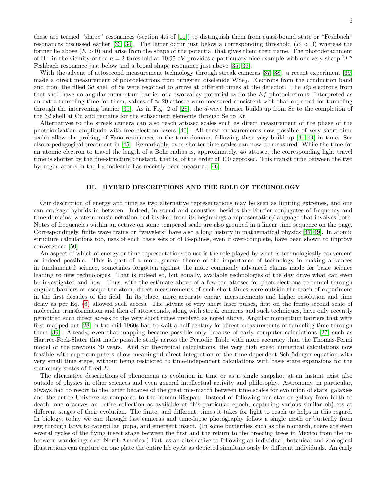these are termed "shape" resonances (section 4.5 of [\[11\]](#page-7-10)) to distinguish them from quasi-bound state or "Feshbach" resonances discussed earlier [\[33,](#page-7-32) [34\]](#page-7-33). The latter occur just below a corresponding threshold  $(E < 0)$  whereas the former lie above  $(E > 0)$  and arise from the shape of the potential that gives them their name. The photodetachment of H<sup>-</sup> in the vicinity of the  $n = 2$  threshold at 10.95 eV provides a particulary nice example with one very sharp <sup>1</sup>P<sup>o</sup> Feshbach resonance just below and a broad shape resonance just above [\[35,](#page-7-34) [36\]](#page-7-35).

With the advent of attosecond measurement technology through streak cameras [\[37,](#page-7-36) [38\]](#page-7-37), a recent experiment [\[39\]](#page-7-38) made a direct measurement of photoelectrons from tungsten diselenide WSe2. Electrons from the conduction band and from the filled 3d shell of Se were recorded to arrive at different times at the detector. The Ep electrons from that shell have no angular momentum barrier of a two-valley potential as do the Ef photoelectrons. Interpreted as an extra tunneling time for them, values of  $\approx 20$  attosec were measured consistent with that expected for tunneling through the intervening barrier [\[39\]](#page-7-38). As in Fig. 2 of [\[28\]](#page-7-27), the d-wave barrier builds up from Sc to the completion of the 3d shell at Cu and remains for the subsequent elements through Se to Kr.

Alternatives to the streak camera can also reach attosec scales such as direct measurement of the phase of the photoionization amplitude with free electron lasers [\[40\]](#page-7-39). All these measurements now possible of very short time scales allow the probing of Fano resonances in the time domain, following their very build up [\[41–](#page-8-0)[44\]](#page-8-1) in time. See also a pedagogical treatment in [\[45\]](#page-8-2). Remarkably, even shorter time scales can now be measured. While the time for an atomic electron to travel the length of a Bohr radius is, approximately, 45 attosec, the corresponding light travel time is shorter by the fine-structure constant, that is, of the order of 300 zeptosec. This transit time between the two hydrogen atoms in the  $H_2$  molecule has recently been measured [\[46\]](#page-8-3).

#### III. HYBRID DESCRIPTIONS AND THE ROLE OF TECHNOLOGY

Our description of energy and time as two alternative representations may be seen as limiting extremes, and one can envisage hybrids in between. Indeed, in sound and acoustics, besides the Fourier conjugates of frequency and time domains, western music notation had invoked from its beginnings a representation/language that involves both. Notes of frequencies within an octave on some tempered scale are also grouped in a linear time sequence on the page. Correspondingly, finite wave trains or "wavelets" have also a long history in mathematical physics [\[47–](#page-8-4)[49\]](#page-8-5). In atomic structure calculations too, uses of such basis sets or of B-splines, even if over-complete, have been shown to improve convergence [\[50\]](#page-8-6).

An aspect of which of energy or time representations to use is the role played by what is technologically convenient or indeed possible. This is part of a more general theme of the importance of technology in making advances in fundamental science, sometimes forgotten against the more commonly advanced claims made for basic science leading to new technologies. That is indeed so, but equally, available technologies of the day drive what can even be investigated and how. Thus, with the estimate above of a few ten attosec for photoelectrons to tunnel through angular barriers or escape the atom, direct measurements of such short times were outside the reach of experiment in the first decades of the field. In its place, more accurate energy measurements and higher resolution and time delay as per Eq. [\(6\)](#page-4-0) allowed such access. The advent of very short laser pulses, first on the femto second scale of molecular transformation and then of attoseconds, along with streak cameras and such techniques, have only recently permitted such direct access to the very short times involved as noted above. Angular momentum barriers that were first mapped out [\[28\]](#page-7-27) in the mid-1960s had to wait a half-century for direct measurements of tunneling time through them [\[39\]](#page-7-38). Already, even that mapping became possible only because of early computer calculations [\[27\]](#page-7-26) such as Hartree-Fock-Slater that made possible study across the Periodic Table with more accuracy than the Thomas-Fermi model of the previous 30 years. And for theoretical calculations, the very high speed numerical calculations now feasible with supercomputers allow meaningful direct integration of the time-dependent Schrödinger equation with very small time steps, without being restricted to time-independent calculations with basis state expansions for the stationary states of fixed E.

The alternative descriptions of phenomena as evolution in time or as a single snapshot at an instant exist also outside of physics in other sciences and even general intellectual activity and philosophy. Astronomy, in particular, always had to resort to the latter because of the great mis-match between time scales for evolution of stars, galaxies and the entire Universe as compared to the human lifespan. Instead of following one star or galaxy from birth to death, one observes an entire collection as available at this particular epoch, capturing various similar objects at different stages of their evolution. The finite, and different, times it takes for light to reach us helps in this regard. In biology, today we can through fast cameras and time-lapse photography follow a single moth or butterfly from egg through larva to caterpillar, pupa, and emergent insect. (In some butterflies such as the monarch, there are even several cycles of the flying insect stage between the first and the return to the breeding trees in Mexico from the inbetween wanderings over North America.) But, as an alternative to following an individual, botanical and zoological illustrations can capture on one plate the entire life cycle as depicted simultaneously by different individuals. An early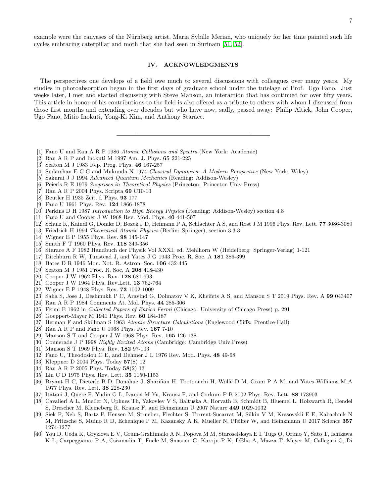7

example were the canvases of the Nürnberg artist, Maria Sybille Merian, who uniquely for her time painted such life cycles embracing caterpillar and moth that she had seen in Surinam [\[51,](#page-8-7) [52\]](#page-8-8).

### IV. ACKNOWLEDGMENTS

The perspectives one develops of a field owe much to several discussions with colleagues over many years. My studies in photoabsorption began in the first days of graduate school under the tutelage of Prof. Ugo Fano. Just weeks later, I met and started discussing with Steve Manson, an interaction that has continued for over fifty years. This article in honor of his contributions to the field is also offered as a tribute to others with whom I discussed from those first months and extending over decades but who have now, sadly, passed away: Philip Altick, John Cooper, Ugo Fano, Mitio Inokuti, Yong-Ki Kim, and Anthony Starace.

- <span id="page-7-0"></span>[1] Fano U and Rau A R P 1986 Atomic Collisions and Spectra (New York: Academic)
- <span id="page-7-1"></span>[2] Rau A R P and Inokuti M 1997 Am. J. Phys. 65 221-225
- <span id="page-7-2"></span>[3] Seaton M J 1983 Rep. Prog. Phys. 46 167-257
- <span id="page-7-3"></span>[4] Sudarshan E C G and Mukunda N 1974 Classical Dynamics: A Modern Perspective (New York: Wiley)
- <span id="page-7-4"></span>[5] Sakurai J J 1994 Advanced Quantum Mechanics (Reading: Addison-Wesley)
- <span id="page-7-5"></span>[6] Peierls R E 1979 Surprises in Theoretical Physics (Princeton: Princeton Univ Press)
- <span id="page-7-6"></span>[7] Rau A R P 2004 Phys. Scripta 69 C10-13
- <span id="page-7-7"></span>[8] Beutler H 1935 Zeit. f. Phys. 93 177
- <span id="page-7-8"></span>[9] Fano U 1961 Phys. Rev. 124 1866-1878
- <span id="page-7-9"></span>[10] Perkins D H 1987 Introduction to High Energy Physics (Reading: Addison-Wesley) section 4.8
- <span id="page-7-10"></span>[11] Fano U and Cooper J W 1968 Rev. Mod. Phys. 40 441-507
- <span id="page-7-11"></span>[12] Schulz K, Kaindl G, Domke D, Bozek J D, Heimann P A, Schlachter A S, and Rost J M 1996 Phys. Rev. Lett. 77 3086-3089
- <span id="page-7-12"></span>[13] Friedrich H 1994 Theoretical Atomic Physics (Berlin: Springer), section 3.3.3
- <span id="page-7-13"></span>[14] Wigner E P 1955 Phys. Rev. 98 145-147
- <span id="page-7-14"></span>[15] Smith F T 1960 Phys. Rev. 118 349-356
- <span id="page-7-15"></span>[16] Starace A F 1982 Handbuch der Physik Vol XXXI, ed. Mehlhorn W (Heidelberg: Springer-Verlag) 1-121
- <span id="page-7-16"></span>[17] Ditchburn R W, Tunstead J, and Yates J G 1943 Proc. R. Soc. A 181 386-399
- <span id="page-7-17"></span>[18] Bates D R 1946 Mon. Not. R. Astron. Soc. 106 432-445
- <span id="page-7-18"></span>[19] Seaton M J 1951 Proc. R. Soc. A 208 418-430
- <span id="page-7-19"></span>[20] Cooper J W 1962 Phys. Rev. 128 681-693
- <span id="page-7-20"></span>[21] Cooper J W 1964 Phys. Rev.Lett. 13 762-764
- <span id="page-7-21"></span>[22] Wigner E P 1948 Phys. Rev. 73 1002-1009
- <span id="page-7-22"></span>[23] Saha S, Jose J, Deshmukh P C, Aravind G, Dolmatov V K, Kheifets A S, and Manson S T 2019 Phys. Rev. A 99 043407
- <span id="page-7-23"></span>[24] Rau A R P 1984 Comments At. Mol. Phys. 44 285-306
- <span id="page-7-24"></span>[25] Fermi E 1962 in Collected Papers of Enrico Fermi (Chicago: University of Chicago Press) p. 291
- <span id="page-7-25"></span>[26] Goeppert-Mayer M 1941 Phys. Rev. 60 184-187
- <span id="page-7-26"></span>[27] Herman F and Skillman S 1963 Atomic Structure Calculations (Englewood Cliffs: Prentice-Hall)
- <span id="page-7-27"></span>[28] Rau A R P and Fano U 1968 Phys. Rev. 167 7-10
- <span id="page-7-28"></span>[29] Manson S T and Cooper J W 1968 Phys. Rev. 165 126-138
- <span id="page-7-29"></span>[30] Connerade J P 1998 Highly Excited Atoms (Cambridge: Cambridge Univ. Press)
- <span id="page-7-30"></span>[31] Manson S T 1969 Phys. Rev. 182 97-103
- <span id="page-7-31"></span>[32] Fano U, Theodosiou C E, and Dehmer J L 1976 Rev. Mod. Phys. 48 49-68
- <span id="page-7-32"></span>[33] Kleppner D 2004 Phys. Today 57(8) 12
- <span id="page-7-33"></span>[34] Rau A R P 2005 Phys. Today 58(2) 13
- <span id="page-7-34"></span>[35] Lin C D 1975 Phys. Rev. Lett. 35 1150-1153
- <span id="page-7-35"></span>[36] Bryant H C, Dieterle B D, Donahue J, Sharifian H, Tootoonchi H, Wolfe D M, Gram P A M, and Yates-Williams M A 1977 Phys. Rev. Lett. 38 228-230
- <span id="page-7-36"></span>[37] Itatani J, Quere F, Yudin G L, Ivanov M Yu, Krausz F, and Corkum P B 2002 Phys. Rev. Lett. 88 173903
- <span id="page-7-37"></span>[38] Cavalieri A L, Mueller N, Uphues Th, Yakovlev V S, Baltuska A, Horvath B, Schmidt B, Bluemel L, Holzwarth R, Hendel S, Drescher M, Kleineberg R, Krausz F, and Heinzmann U 2007 Nature 449 1029-1032
- <span id="page-7-38"></span>[39] Siek F, Neb S, Bartz P, Hensen M, Strueber, Fiechter S, Torrent-Sucarrat M, Silkin V M, Krasovskii E E, Kabachnik N M, Fritzsche S, Muino R, D, Echenique P M, Kazansky A K, Mueller N, Pfeiffer W, and Heinzmann U 2017 Science 357 1274-1277
- <span id="page-7-39"></span>[40] You D, Ueda K, Gryzlova E V, Grum-Grzhimailo A N, Popova M M, Staroselskaya E I, Tugs O, Orimo Y, Sato T, Ishikawa K L, Carpeggianai P A, Csizmadia T, Fuele M, Snasone G, Karoju P K, DElia A, Mazza T, Meyer M, Callegari C, Di